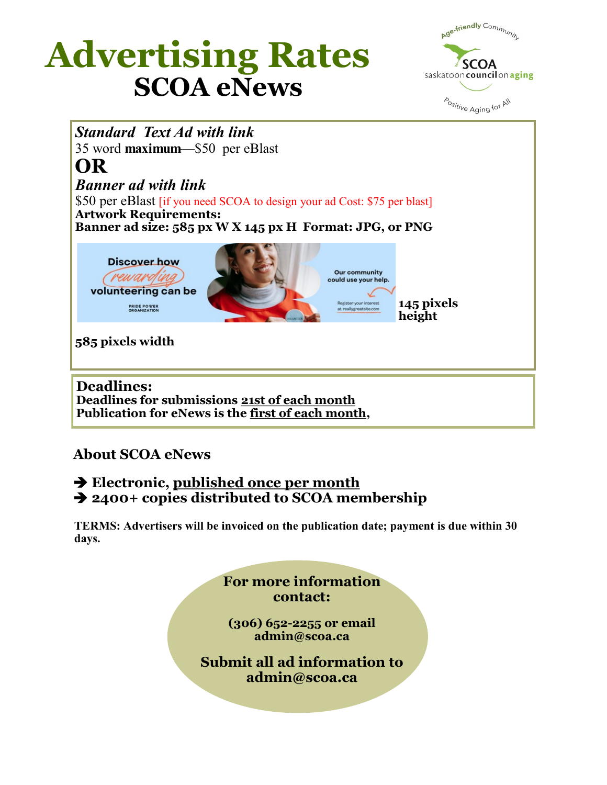# **SCOA eNews Advertising Rates**





## **About SCOA eNews**

#### **Electronic, published once per month 2400+ copies distributed to SCOA membership**

**TERMS: Advertisers will be invoiced on the publication date; payment is due within 30 days.** 

> **For more information contact: (306) 652-2255 or email admin@scoa.ca Submit all ad information to admin@scoa.ca**